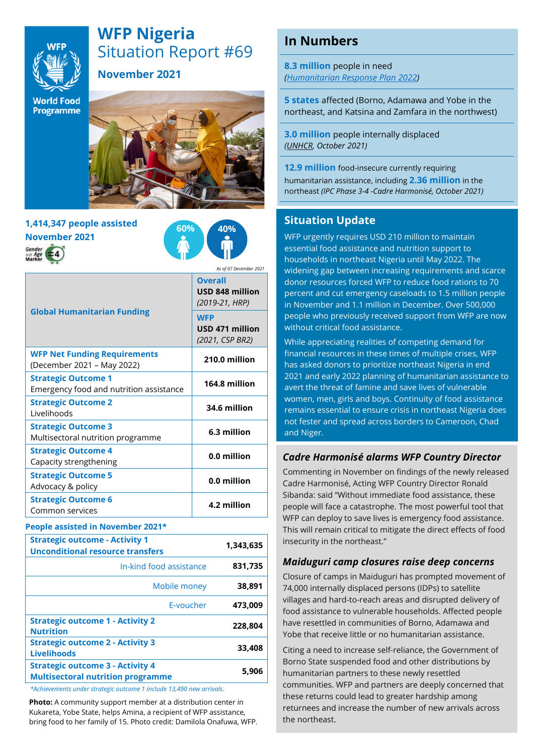

# **WFP Nigeria** Situation Report #69

**November 2021**

**World Food** Programme



## **1,414,347 people assisted November 2021**



*As of 07 December 2021*

| <b>Global Humanitarian Funding</b>                                    | <b>Overall</b><br>USD 848 million<br>(2019-21, HRP)<br><b>WFP</b><br>USD 471 million<br>(2021, CSP BR2) |
|-----------------------------------------------------------------------|---------------------------------------------------------------------------------------------------------|
| <b>WFP Net Funding Requirements</b><br>(December 2021 - May 2022)     | 210.0 million                                                                                           |
| <b>Strategic Outcome 1</b><br>Emergency food and nutrition assistance | 164.8 million                                                                                           |
| <b>Strategic Outcome 2</b><br>Livelihoods                             | 34.6 million                                                                                            |
| <b>Strategic Outcome 3</b><br>Multisectoral nutrition programme       | 6.3 million                                                                                             |
| <b>Strategic Outcome 4</b><br>Capacity strengthening                  | 0.0 million                                                                                             |
| <b>Strategic Outcome 5</b><br>Advocacy & policy                       | 0.0 million                                                                                             |
| <b>Strategic Outcome 6</b><br>Common services                         | 4.2 million                                                                                             |

#### **People assisted in November 2021\***

| <b>Strategic outcome - Activity 1</b><br><b>Unconditional resource transfers</b>    | 1,343,635 |
|-------------------------------------------------------------------------------------|-----------|
| In-kind food assistance                                                             | 831,735   |
| Mobile money                                                                        | 38,891    |
| E-voucher                                                                           | 473.009   |
| <b>Strategic outcome 1 - Activity 2</b><br><b>Nutrition</b>                         | 228,804   |
| <b>Strategic outcome 2 - Activity 3</b><br><b>Livelihoods</b>                       | 33,408    |
| <b>Strategic outcome 3 - Activity 4</b><br><b>Multisectoral nutrition programme</b> | 5.906     |

*\*Achievements under strategic outcome 1 include 13,490 new arrivals.* 

**Photo:** A community support member at a distribution center in Kukareta, Yobe State, helps Amina, a recipient of WFP assistance, bring food to her family of 15. Photo credit: Damilola Onafuwa, WFP.

## **In Numbers**

**8.3 million** people in need *[\(Humanitarian Response Plan](https://hum-insight.info/plan/1062) 2022)*

**5 states** affected (Borno, Adamawa and Yobe in the northeast, and Katsina and Zamfara in the northwest)

**3.0 million** people internally displaced *[\(UNHCR,](https://data2.unhcr.org/en/country/nga) October 2021)*

**12.9 million** food-insecure currently requiring humanitarian assistance, including **2.36 million** in the northeast *(IPC Phase 3-4 -Cadre Harmonisé, October 2021)*

### **Situation Update**

WFP urgently requires USD 210 million to maintain essential food assistance and nutrition support to households in northeast Nigeria until May 2022. The widening gap between increasing requirements and scarce donor resources forced WFP to reduce food rations to 70 percent and cut emergency caseloads to 1.5 million people in November and 1.1 million in December. Over 500,000 people who previously received support from WFP are now without critical food assistance.

While appreciating realities of competing demand for financial resources in these times of multiple crises, WFP has asked donors to prioritize northeast Nigeria in end 2021 and early 2022 planning of humanitarian assistance to avert the threat of famine and save lives of vulnerable women, men, girls and boys. Continuity of food assistance remains essential to ensure crisis in northeast Nigeria does not fester and spread across borders to Cameroon, Chad and Niger.

### *Cadre Harmonisé alarms WFP Country Director*

Commenting in November on findings of the newly released Cadre Harmonisé, Acting WFP Country Director Ronald Sibanda: said "Without immediate food assistance, these people will face a catastrophe. The most powerful tool that WFP can deploy to save lives is emergency food assistance. This will remain critical to mitigate the direct effects of food insecurity in the northeast."

#### *Maiduguri camp closures raise deep concerns*

Closure of camps in Maiduguri has prompted movement of 74,000 internally displaced persons (IDPs) to satellite villages and hard-to-reach areas and disrupted delivery of food assistance to vulnerable households. Affected people have resettled in communities of Borno, Adamawa and Yobe that receive little or no humanitarian assistance.

Citing a need to increase self-reliance, the Government of Borno State suspended food and other distributions by humanitarian partners to these newly resettled communities. WFP and partners are deeply concerned that these returns could lead to greater hardship among returnees and increase the number of new arrivals across the northeast.